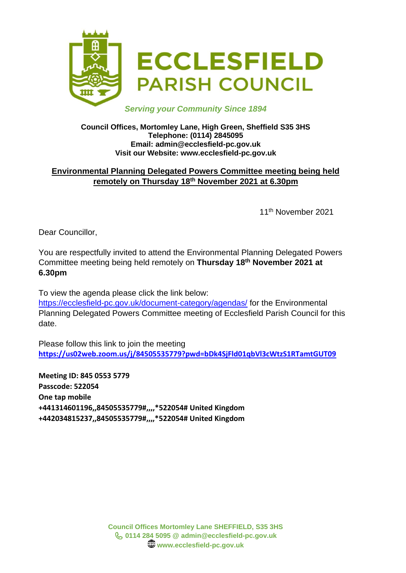

# *Serving your Community Since 1894*

#### **Council Offices, Mortomley Lane, High Green, Sheffield S35 3HS Telephone: (0114) 2845095 Email: admin@ecclesfield-pc.gov.uk Visit our Website: www.ecclesfield-pc.gov.uk**

# **Environmental Planning Delegated Powers Committee meeting being held remotely on Thursday 18th November 2021 at 6.30pm**

11th November 2021

Dear Councillor,

You are respectfully invited to attend the Environmental Planning Delegated Powers Committee meeting being held remotely on **Thursday 18th November 2021 at 6.30pm**

To view the agenda please click the link below:

<https://ecclesfield-pc.gov.uk/document-category/agendas/> for the Environmental Planning Delegated Powers Committee meeting of Ecclesfield Parish Council for this date.

Please follow this link to join the meeting **<https://us02web.zoom.us/j/84505535779?pwd=bDk4SjFld01qbVl3cWtzS1RTamtGUT09>**

**Meeting ID: 845 0553 5779 Passcode: 522054 One tap mobile +441314601196,,84505535779#,,,,\*522054# United Kingdom +442034815237,,84505535779#,,,,\*522054# United Kingdom**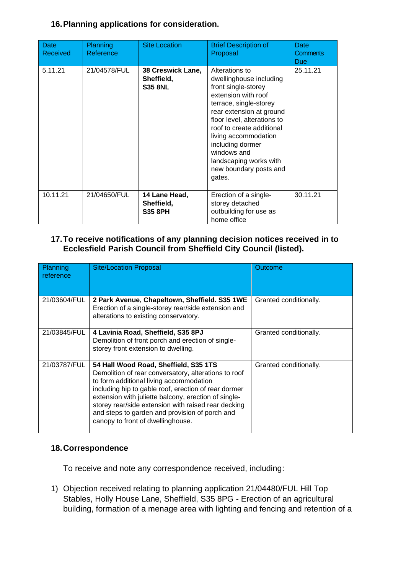# **16.Planning applications for consideration.**

| Date<br>Received | Planning<br>Reference | <b>Site Location</b>                              | <b>Brief Description of</b><br>Proposal                                                                                                                                                                                                                                                                                            | Date<br><b>Comments</b><br>Due |
|------------------|-----------------------|---------------------------------------------------|------------------------------------------------------------------------------------------------------------------------------------------------------------------------------------------------------------------------------------------------------------------------------------------------------------------------------------|--------------------------------|
| 5.11.21          | 21/04578/FUL          | 38 Creswick Lane,<br>Sheffield,<br><b>S35 8NL</b> | Alterations to<br>dwellinghouse including<br>front single-storey<br>extension with roof<br>terrace, single-storey<br>rear extension at ground<br>floor level, alterations to<br>roof to create additional<br>living accommodation<br>including dormer<br>windows and<br>landscaping works with<br>new boundary posts and<br>gates. | 25.11.21                       |
| 10.11.21         | 21/04650/FUL          | 14 Lane Head,<br>Sheffield,<br><b>S35 8PH</b>     | Erection of a single-<br>storey detached<br>outbuilding for use as<br>home office                                                                                                                                                                                                                                                  | 30.11.21                       |

### **17.To receive notifications of any planning decision notices received in to Ecclesfield Parish Council from Sheffield City Council (listed).**

| Planning<br>reference | <b>Site/Location Proposal</b>                                                                                                                                                                                                                                                                                                                                                                          | Outcome                |
|-----------------------|--------------------------------------------------------------------------------------------------------------------------------------------------------------------------------------------------------------------------------------------------------------------------------------------------------------------------------------------------------------------------------------------------------|------------------------|
| 21/03604/FUL          | 2 Park Avenue, Chapeltown, Sheffield. S35 1WE<br>Erection of a single-storey rear/side extension and<br>alterations to existing conservatory.                                                                                                                                                                                                                                                          | Granted conditionally. |
| 21/03845/FUL          | 4 Lavinia Road, Sheffield, S35 8PJ<br>Demolition of front porch and erection of single-<br>storey front extension to dwelling.                                                                                                                                                                                                                                                                         | Granted conditionally. |
| 21/03787/FUL          | 54 Hall Wood Road, Sheffield, S35 1TS<br>Demolition of rear conversatory, alterations to roof<br>to form additional living accommodation<br>including hip to gable roof, erection of rear dormer<br>extension with juliette balcony, erection of single-<br>storey rear/side extension with raised rear decking<br>and steps to garden and provision of porch and<br>canopy to front of dwellinghouse. | Granted conditionally. |

#### **18.Correspondence**

To receive and note any correspondence received, including:

1) Objection received relating to planning application 21/04480/FUL Hill Top Stables, Holly House Lane, Sheffield, S35 8PG - Erection of an agricultural building, formation of a menage area with lighting and fencing and retention of a